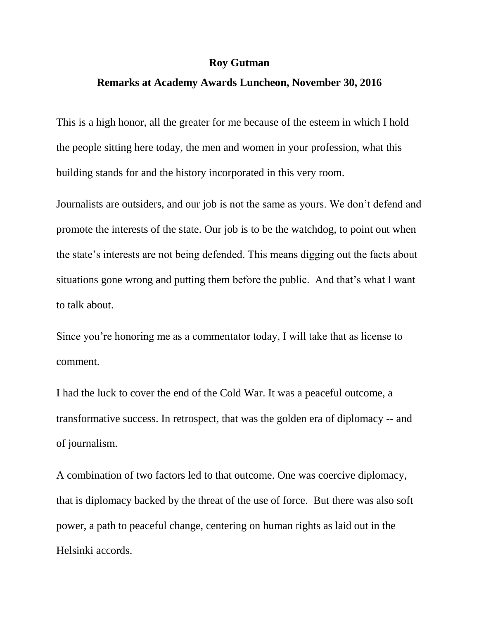## **Roy Gutman**

## **Remarks at Academy Awards Luncheon, November 30, 2016**

This is a high honor, all the greater for me because of the esteem in which I hold the people sitting here today, the men and women in your profession, what this building stands for and the history incorporated in this very room.

Journalists are outsiders, and our job is not the same as yours. We don't defend and promote the interests of the state. Our job is to be the watchdog, to point out when the state's interests are not being defended. This means digging out the facts about situations gone wrong and putting them before the public. And that's what I want to talk about.

Since you're honoring me as a commentator today, I will take that as license to comment.

I had the luck to cover the end of the Cold War. It was a peaceful outcome, a transformative success. In retrospect, that was the golden era of diplomacy -- and of journalism.

A combination of two factors led to that outcome. One was coercive diplomacy, that is diplomacy backed by the threat of the use of force. But there was also soft power, a path to peaceful change, centering on human rights as laid out in the Helsinki accords.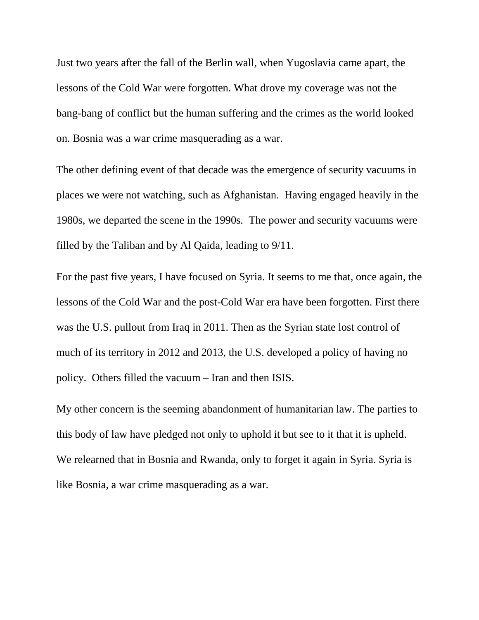Just two years after the fall of the Berlin wall, when Yugoslavia came apart, the lessons of the Cold War were forgotten. What drove my coverage was not the bang-bang of conflict but the human suffering and the crimes as the world looked on. Bosnia was a war crime masquerading as a war.

The other defining event of that decade was the emergence of security vacuums in places we were not watching, such as Afghanistan. Having engaged heavily in the 1980s, we departed the scene in the 1990s. The power and security vacuums were filled by the Taliban and by Al Qaida, leading to 9/11.

For the past five years, I have focused on Syria. It seems to me that, once again, the lessons of the Cold War and the post-Cold War era have been forgotten. First there was the U.S. pullout from Iraq in 2011. Then as the Syrian state lost control of much of its territory in 2012 and 2013, the U.S. developed a policy of having no policy. Others filled the vacuum – Iran and then ISIS.

My other concern is the seeming abandonment of humanitarian law. The parties to this body of law have pledged not only to uphold it but see to it that it is upheld. We relearned that in Bosnia and Rwanda, only to forget it again in Syria. Syria is like Bosnia, a war crime masquerading as a war.